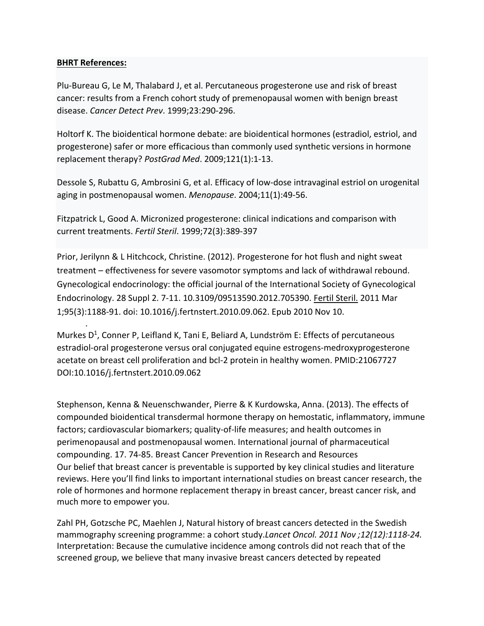#### **BHRT References:**

.

Plu-Bureau G, Le M, Thalabard J, et al. Percutaneous progesterone use and risk of breast cancer: results from a French cohort study of premenopausal women with benign breast disease. *Cancer Detect Prev*. 1999;23:290-296.

Holtorf K. The bioidentical hormone debate: are bioidentical hormones (estradiol, estriol, and progesterone) safer or more efficacious than commonly used synthetic versions in hormone replacement therapy? *PostGrad Med*. 2009;121(1):1-13.

Dessole S, Rubattu G, Ambrosini G, et al. Efficacy of low-dose intravaginal estriol on urogenital aging in postmenopausal women. *Menopause*. 2004;11(1):49-56.

Fitzpatrick L, Good A. Micronized progesterone: clinical indications and comparison with current treatments. *Fertil Steril*. 1999;72(3):389-397

Prior, Jerilynn & L Hitchcock, Christine. (2012). Progesterone for hot flush and night sweat treatment – effectiveness for severe vasomotor symptoms and lack of withdrawal rebound. Gynecological endocrinology: the official journal of the International Society of Gynecological Endocrinology. 28 Suppl 2. 7-11. 10.3109/09513590.2012.705390. [Fertil Steril.](https://www.ncbi.nlm.nih.gov/pubmed/21067727) 2011 Mar 1;95(3):1188-91. doi: 10.1016/j.fertnstert.2010.09.062. Epub 2010 Nov 10.

Murkes  $D^1$ , [Conner P,](https://www.ncbi.nlm.nih.gov/pubmed/?term=Conner%20P%5BAuthor%5D&cauthor=true&cauthor_uid=21067727) [Leifland K,](https://www.ncbi.nlm.nih.gov/pubmed/?term=Leifland%20K%5BAuthor%5D&cauthor=true&cauthor_uid=21067727) [Tani E,](https://www.ncbi.nlm.nih.gov/pubmed/?term=Tani%20E%5BAuthor%5D&cauthor=true&cauthor_uid=21067727) [Beliard A,](https://www.ncbi.nlm.nih.gov/pubmed/?term=Beliard%20A%5BAuthor%5D&cauthor=true&cauthor_uid=21067727) [Lundström E:](https://www.ncbi.nlm.nih.gov/pubmed/?term=Lundstr%C3%B6m%20E%5BAuthor%5D&cauthor=true&cauthor_uid=21067727) Effects of percutaneous estradiol-oral progesterone versus oral conjugated equine estrogens-medroxyprogesterone acetate on breast cell proliferation and bcl-2 protein in healthy women. PMID:21067727 DOI[:10.1016/j.fertnstert.2010.09.062](https://doi.org/10.1016/j.fertnstert.2010.09.062)

Stephenson, Kenna & Neuenschwander, Pierre & K Kurdowska, Anna. (2013). The effects of compounded bioidentical transdermal hormone therapy on hemostatic, inflammatory, immune factors; cardiovascular biomarkers; quality-of-life measures; and health outcomes in perimenopausal and postmenopausal women. International journal of pharmaceutical compounding. 17. 74-85. Breast Cancer Prevention in Research and Resources Our belief that breast cancer is preventable is supported by key clinical studies and literature reviews. Here you'll find links to important international studies on breast cancer research, the role of hormones and hormone replacement therapy in breast cancer, breast cancer risk, and much more to empower you.

Zahl PH, [Gotzsche](http://www.thelancet.com/journals/lanonc/article/PIIS1470-2045%2811%2970250-9/abstract) PC, Maehlen J, Natural history of breast cancers detected in the Swedish [mammography](http://www.thelancet.com/journals/lanonc/article/PIIS1470-2045%2811%2970250-9/abstract) screening programme: a cohort study.*Lancet Oncol. 2011 Nov ;12(12):1118-24.* Interpretation: Because the cumulative incidence among controls did not reach that of the screened group, we believe that many invasive breast cancers detected by repeated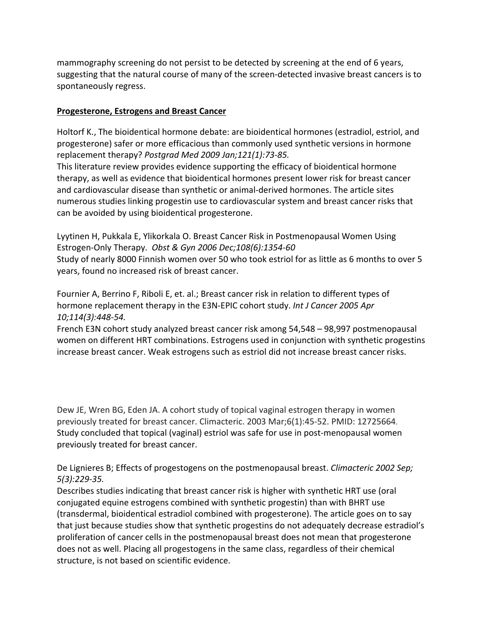mammography screening do not persist to be detected by screening at the end of 6 years, suggesting that the natural course of many of the screen-detected invasive breast cancers is to spontaneously regress.

### **Progesterone, Estrogens and Breast Cancer**

Holtorf K., The [bioidentical](http://www.ncbi.nlm.nih.gov/pubmed/19179815?log$=activity) hormone debate: are bioidentical hormones (estradiol, estriol, and [progesterone\)](http://www.ncbi.nlm.nih.gov/pubmed/19179815?log$=activity) safer or more efficacious than commonly used synthetic versions in hormone [replacement](http://www.ncbi.nlm.nih.gov/pubmed/19179815?log$=activity) therapy? *Postgrad Med 2009 Jan;121(1):73-85.*

This literature review provides evidence supporting the efficacy of bioidentical hormone therapy, as well as evidence that bioidentical hormones present lower risk for breast cancer and cardiovascular disease than synthetic or animal-derived hormones. The article sites numerous studies linking progestin use to cardiovascular system and breast cancer risks that can be avoided by using bioidentical progesterone.

Lyytinen H, Pukkala E, Ylikorkala O. Breast Cancer Risk in Postmenopausal Women Using Estrogen-Only Therapy. *Obst & Gyn 2006 Dec;108(6):1354-60* Study of nearly 8000 Finnish women over 50 who took estriol for as little as 6 months to over 5 years, found no increased risk of breast cancer.

Fournier A, Berrino F, Riboli E, et. al.; Breast cancer risk in relation to [different](http://www.ncbi.nlm.nih.gov/pubmed/15551359?log$=activity) types of hormone [replacement](http://www.ncbi.nlm.nih.gov/pubmed/15551359?log$=activity) therapy in the E3N-EPIC cohort study. *Int J Cancer 2005 Apr 10;114(3):448-54.*

French E3N cohort study analyzed breast cancer risk among 54,548 – 98,997 postmenopausal women on different HRT combinations. Estrogens used in conjunction with synthetic progestins increase breast cancer. Weak estrogens such as estriol did not increase breast cancer risks.

Dew JE, Wren BG, Eden JA. A cohort study of topical vaginal estrogen therapy in women previously treated for breast cancer. Climacteric. 2003 Mar;6(1):45-52. PMID: 12725664. Study concluded that topical (vaginal) estriol was safe for use in post-menopausal women previously treated for breast cancer.

De Lignieres B; Effects of progestogens on the [postmenopausal](http://www.ncbi.nlm.nih.gov/pubmed/12419080?ordinalpos=2&itool=EntrezSystem2.PEntrez.Pubmed.Pubmed_ResultsPanel.Pubmed_DefaultReportPanel.Pubmed_RVDocSum) breast. *Climacteric 2002 Sep; 5(3):229-35.*

Describes studies indicating that breast cancer risk is higher with synthetic HRT use (oral conjugated equine estrogens combined with synthetic progestin) than with BHRT use (transdermal, bioidentical estradiol combined with progesterone). The article goes on to say that just because studies show that synthetic progestins do not adequately decrease estradiol's proliferation of cancer cells in the postmenopausal breast does not mean that progesterone does not as well. Placing all progestogens in the same class, regardless of their chemical structure, is not based on scientific evidence.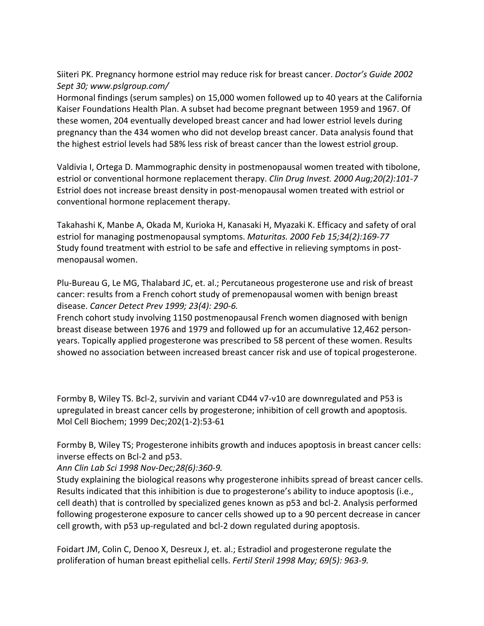Siiteri PK. Pregnancy hormone estriol may reduce risk for breast cancer. *Doctor's Guide 2002 Sept 30; www.pslgroup.com/*

Hormonal findings (serum samples) on 15,000 women followed up to 40 years at the California Kaiser Foundations Health Plan. A subset had become pregnant between 1959 and 1967. Of these women, 204 eventually developed breast cancer and had lower estriol levels during pregnancy than the 434 women who did not develop breast cancer. Data analysis found that the highest estriol levels had 58% less risk of breast cancer than the lowest estriol group.

Valdivia I, Ortega D. Mammographic density in postmenopausal women treated with tibolone, estriol or conventional hormone replacement therapy. *Clin Drug Invest. 2000 Aug;20(2):101-7* Estriol does not increase breast density in post-menopausal women treated with estriol or conventional hormone replacement therapy.

Takahashi K, Manbe A, Okada M, Kurioka H, Kanasaki H, Myazaki K. Efficacy and safety of oral estriol for managing postmenopausal symptoms. *Maturitas. 2000 Feb 15;34(2):169-77* Study found treatment with estriol to be safe and effective in relieving symptoms in postmenopausal women.

Plu-Bureau G, Le MG, Thalabard JC, et. al.; [Percutaneous](http://www.ncbi.nlm.nih.gov/sites/entrez?db=pubmed&cmd=DetailsSearch&term=Percutaneous+progesterone+use+and+risk+Plu-Bureau&log$=activity) progesterone use and risk of breast cancer: results from a French cohort study of [premenopausal](http://www.ncbi.nlm.nih.gov/sites/entrez?db=pubmed&cmd=DetailsSearch&term=Percutaneous+progesterone+use+and+risk+Plu-Bureau&log$=activity) women with benign breast [disease.](http://www.ncbi.nlm.nih.gov/sites/entrez?db=pubmed&cmd=DetailsSearch&term=Percutaneous+progesterone+use+and+risk+Plu-Bureau&log$=activity) *Cancer Detect Prev 1999; 23(4): 290-6.*

French cohort study involving 1150 postmenopausal French women diagnosed with benign breast disease between 1976 and 1979 and followed up for an accumulative 12,462 personyears. Topically applied progesterone was prescribed to 58 percent of these women. Results showed no association between increased breast cancer risk and use of topical progesterone.

Formby B, Wiley TS. Bcl-2, survivin and variant CD44 v7-v10 are downregulated and P53 is upregulated in breast cancer cells by progesterone; inhibition of cell growth and apoptosis. Mol Cell Biochem; 1999 Dec;202(1-2):53-61

Formby B, Wiley TS; [Progesterone](http://www.ncbi.nlm.nih.gov/pubmed/9846203?ordinalpos=2&itool=EntrezSystem2.PEntrez.Pubmed.Pubmed_ResultsPanel.Pubmed_DefaultReportPanel.Pubmed_RVDocSum) inhibits growth and induces apoptosis in breast cancer cells: [inverse](http://www.ncbi.nlm.nih.gov/pubmed/9846203?ordinalpos=2&itool=EntrezSystem2.PEntrez.Pubmed.Pubmed_ResultsPanel.Pubmed_DefaultReportPanel.Pubmed_RVDocSum) effects on Bcl-2 and p53.

*Ann Clin Lab Sci 1998 Nov-Dec;28(6):360-9.*

Study explaining the biological reasons why progesterone inhibits spread of breast cancer cells. Results indicated that this inhibition is due to progesterone's ability to induce apoptosis (i.e., cell death) that is controlled by specialized genes known as p53 and bcl-2. Analysis performed following progesterone exposure to cancer cells showed up to a 90 percent decrease in cancer cell growth, with p53 up-regulated and bcl-2 down regulated during apoptosis.

Foidart JM, Colin C, Denoo X, Desreux J, et. al.; Estradiol and [progesterone](http://www.ncbi.nlm.nih.gov/sites/entrez?db=pubmed&cmd=DetailsSearch&term=Estradiol+and+progesterone+regulate+the+Foidart&log$=activity) regulate the [proliferation](http://www.ncbi.nlm.nih.gov/sites/entrez?db=pubmed&cmd=DetailsSearch&term=Estradiol+and+progesterone+regulate+the+Foidart&log$=activity) of human breast epithelial cells. *Fertil Steril 1998 May; 69(5): 963-9.*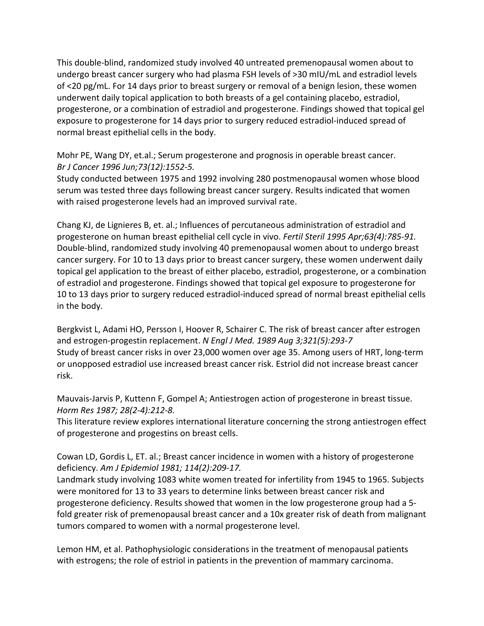This double-blind, randomized study involved 40 untreated premenopausal women about to undergo breast cancer surgery who had plasma FSH levels of >30 mIU/mL and estradiol levels of <20 pg/mL. For 14 days prior to breast surgery or removal of a benign lesion, these women underwent daily topical application to both breasts of a gel containing placebo, estradiol, progesterone, or a combination of estradiol and progesterone. Findings showed that topical gel exposure to progesterone for 14 days prior to surgery reduced estradiol-induced spread of normal breast epithelial cells in the body.

Mohr PE, Wang DY, et.al.; Serum [progesterone](http://www.ncbi.nlm.nih.gov/pubmed/8664128?log$=activity) and prognosis in operable breast cancer. *Br J Cancer 1996 Jun;73(12):1552-5.*

Study conducted between 1975 and 1992 involving 280 postmenopausal women whose blood serum was tested three days following breast cancer surgery. Results indicated that women with raised progesterone levels had an improved survival rate.

Chang KJ, de Lignieres B, et. al.; Influences of percutaneous [administration](http://www.ncbi.nlm.nih.gov/sites/entrez?db=pubmed&cmd=DetailsSearch&term=Fertil+Steril.+1995+Apr;63+AND+(4)+AND+785-91.+chang&log$=activity) of estradiol and [progesterone](http://www.ncbi.nlm.nih.gov/sites/entrez?db=pubmed&cmd=DetailsSearch&term=Fertil+Steril.+1995+Apr;63+AND+(4)+AND+785-91.+chang&log$=activity) on human breast epithelial cell cycle in vivo. *Fertil Steril 1995 Apr;63(4):785-91.* Double-blind, randomized study involving 40 premenopausal women about to undergo breast cancer surgery. For 10 to 13 days prior to breast cancer surgery, these women underwent daily topical gel application to the breast of either placebo, estradiol, progesterone, or a combination of estradiol and progesterone. Findings showed that topical gel exposure to progesterone for 10 to 13 days prior to surgery reduced estradiol-induced spread of normal breast epithelial cells in the body.

Bergkvist L, Adami HO, Persson I, Hoover R, Schairer C. The risk of breast cancer after estrogen and estrogen-progestin replacement. *N Engl J Med. 1989 Aug 3;321(5):293-7* Study of breast cancer risks in over 23,000 women over age 35. Among users of HRT, long-term or unopposed estradiol use increased breast cancer risk. Estriol did not increase breast cancer risk.

[Mauvais-Jarvis](http://www.ncbi.nlm.nih.gov/pubmed/3331374?itool=EntrezSystem2.PEntrez.Pubmed.Pubmed_ResultsPanel.Pubmed_RVDocSum&ordinalpos=2) P, Kuttenn F, Gompel A; Antiestrogen action of progesterone in breast tissue. *Horm Res 1987; 28(2-4):212-8.*

This literature review explores international literature concerning the strong antiestrogen effect of progesterone and progestins on breast cells.

Cowan LD, Gordis L, ET. al.; Breast cancer incidence in women with a history of [progesterone](http://www.ncbi.nlm.nih.gov/pubmed/7304556?log$=activity) [deficiency.](http://www.ncbi.nlm.nih.gov/pubmed/7304556?log$=activity) *Am J Epidemiol 1981; 114(2):209-17.*

Landmark study involving 1083 white women treated for infertility from 1945 to 1965. Subjects were monitored for 13 to 33 years to determine links between breast cancer risk and progesterone deficiency. Results showed that women in the low progesterone group had a 5 fold greater risk of premenopausal breast cancer and a 10x greater risk of death from malignant tumors compared to women with a normal progesterone level.

Lemon HM, et al. Pathophysiologic considerations in the treatment of menopausal patients with estrogens; the role of estriol in patients in the prevention of mammary carcinoma.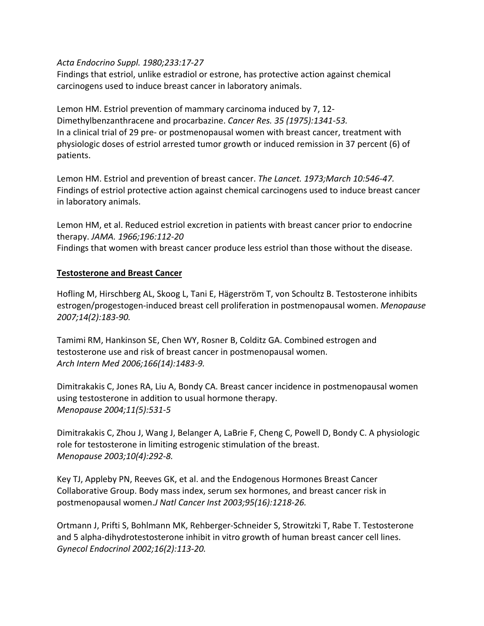### *Acta Endocrino Suppl. 1980;233:17-27*

Findings that estriol, unlike estradiol or estrone, has protective action against chemical carcinogens used to induce breast cancer in laboratory animals.

Lemon HM. Estriol prevention of mammary carcinoma induced by 7, 12- Dimethylbenzanthracene and procarbazine. *Cancer Res. 35 (1975):1341-53.* In a clinical trial of 29 pre- or postmenopausal women with breast cancer, treatment with physiologic doses of estriol arrested tumor growth or induced remission in 37 percent (6) of patients.

Lemon HM. Estriol and prevention of breast cancer. *The Lancet. 1973;March 10:546-47.* Findings of estriol protective action against chemical carcinogens used to induce breast cancer in laboratory animals.

Lemon HM, et al. Reduced estriol excretion in patients with breast cancer prior to endocrine therapy. *JAMA. 1966;196:112-20* Findings that women with breast cancer produce less estriol than those without the disease.

### **Testosterone and Breast Cancer**

Hofling M, Hirschberg AL, Skoog L, Tani E, Hägerström T, von Schoultz B. Testosterone inhibits estrogen/progestogen-induced breast cell proliferation in postmenopausal women. *Menopause 2007;14(2):183-90.*

Tamimi RM, Hankinson SE, Chen WY, Rosner B, Colditz GA. Combined estrogen and testosterone use and risk of breast cancer in postmenopausal women. *Arch Intern Med 2006;166(14):1483-9.*

Dimitrakakis C, Jones RA, Liu A, Bondy CA. Breast cancer incidence in postmenopausal women using testosterone in addition to usual hormone therapy. *Menopause 2004;11(5):531-5*

Dimitrakakis C, Zhou J, Wang J, Belanger A, LaBrie F, Cheng C, Powell D, Bondy C. A physiologic role for testosterone in limiting estrogenic stimulation of the breast. *Menopause 2003;10(4):292-8.*

Key TJ, Appleby PN, Reeves GK, et al. and the Endogenous Hormones Breast Cancer Collaborative Group. Body mass index, serum sex hormones, and breast cancer risk in postmenopausal women.*J Natl Cancer Inst 2003;95(16):1218-26.*

Ortmann J, Prifti S, Bohlmann MK, Rehberger-Schneider S, Strowitzki T, Rabe T. Testosterone and 5 alpha-dihydrotestosterone inhibit in vitro growth of human breast cancer cell lines. *Gynecol Endocrinol 2002;16(2):113-20.*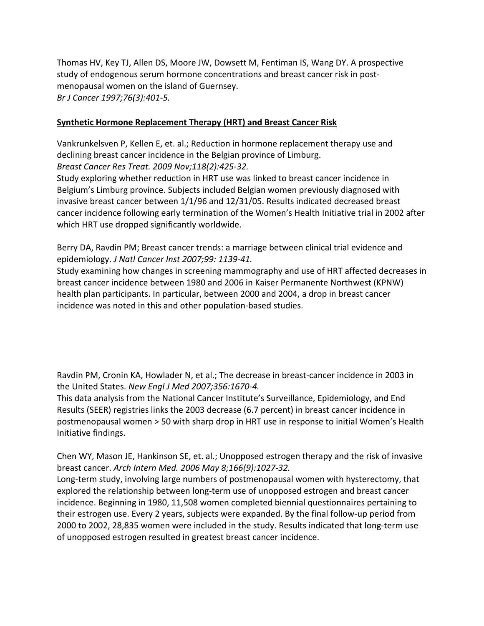Thomas HV, Key TJ, Allen DS, Moore JW, Dowsett M, Fentiman IS, Wang DY. A prospective study of endogenous serum hormone concentrations and breast cancer risk in postmenopausal women on the island of Guernsey. *Br J Cancer 1997;76(3):401-5.*

### **Synthetic Hormone Replacement Therapy (HRT) and Breast Cancer Risk**

[Vankrunkelsven](http://www.ncbi.nlm.nih.gov/sites/entrez?db=pubmed&cmd=DetailsSearch&term=Reduction+in+hormone+replacement+Vankrunkelsven&log$=activity) P, Kellen E, et. al.; Reduction in hormone replacement therapy use and declining breast cancer [incidence](http://www.ncbi.nlm.nih.gov/sites/entrez?db=pubmed&cmd=DetailsSearch&term=Reduction+in+hormone+replacement+Vankrunkelsven&log$=activity) in the Belgian province of Limburg. *Breast Cancer Res Treat. 2009 Nov;118(2):425-32.*

Study exploring whether reduction in HRT use was linked to breast cancer incidence in Belgium's Limburg province. Subjects included Belgian women previously diagnosed with invasive breast cancer between 1/1/96 and 12/31/05. Results indicated decreased breast cancer incidence following early termination of the Women's Health Initiative trial in 2002 after which HRT use dropped significantly worldwide.

Berry DA, Ravdin PM; Breast cancer trends: a [marriage](http://www.ncbi.nlm.nih.gov/pubmed/17652274?itool=EntrezSystem2.PEntrez.Pubmed.Pubmed_ResultsPanel.Pubmed_RVDocSum&ordinalpos=2&log$=free) between clinical trial evidence and [epidemiology.](http://www.ncbi.nlm.nih.gov/pubmed/17652274?itool=EntrezSystem2.PEntrez.Pubmed.Pubmed_ResultsPanel.Pubmed_RVDocSum&ordinalpos=2&log$=free) *J Natl Cancer Inst 2007;99: 1139-41.*

Study examining how changes in screening mammography and use of HRT affected decreases in breast cancer incidence between 1980 and 2006 in Kaiser Permanente Northwest (KPNW) health plan participants. In particular, between 2000 and 2004, a drop in breast cancer incidence was noted in this and other population-based studies.

Ravdin PM, Cronin KA, Howlader N, et al.; The decrease in [breast-cancer](http://www.ncbi.nlm.nih.gov/sites/entrez?db=pubmed&cmd=DetailsSearch&term=The+decrease+in+breast-cancer+incidence+in+2003+Ravdin&log$=activity) incidence in 2003 in the [United](http://www.ncbi.nlm.nih.gov/sites/entrez?db=pubmed&cmd=DetailsSearch&term=The+decrease+in+breast-cancer+incidence+in+2003+Ravdin&log$=activity) States. *New Engl J Med 2007;356:1670-4.*

This data analysis from the National Cancer Institute's Surveillance, Epidemiology, and End Results (SEER) registries links the 2003 decrease (6.7 percent) in breast cancer incidence in postmenopausal women > 50 with sharp drop in HRT use in response to initial Women's Health Initiative findings.

Chen WY, Mason JE, Hankinson SE, et. al.; [Unopposed](http://www.ncbi.nlm.nih.gov/pubmed/16682578?log$=activity) estrogen therapy and the risk of invasive breast [cancer.](http://www.ncbi.nlm.nih.gov/pubmed/16682578?log$=activity) *Arch Intern Med. 2006 May 8;166(9):1027-32.*

Long-term study, involving large numbers of postmenopausal women with hysterectomy, that explored the relationship between long-term use of unopposed estrogen and breast cancer incidence. Beginning in 1980, 11,508 women completed biennial questionnaires pertaining to their estrogen use. Every 2 years, subjects were expanded. By the final follow-up period from 2000 to 2002, 28,835 women were included in the study. Results indicated that long-term use of unopposed estrogen resulted in greatest breast cancer incidence.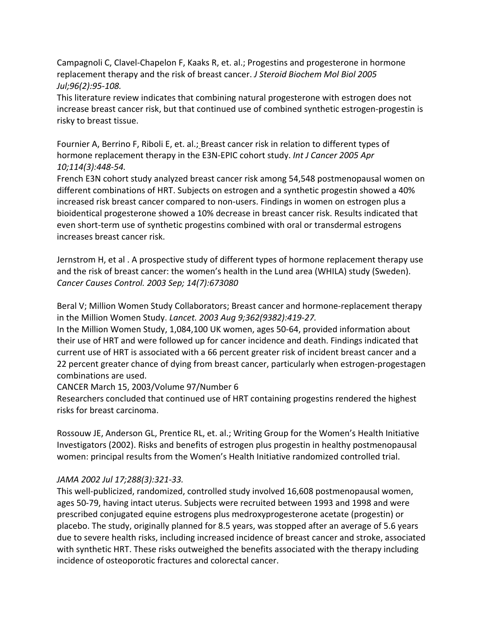Campagnoli C, [Clavel-Chapelon](http://www.ncbi.nlm.nih.gov/pubmed/15908197?ordinalpos=&itool=EntrezSystem2.PEntrez.Pubmed.Pubmed_ResultsPanel.SmartSearch&log$=citationsensor) F, Kaaks R, et. al.; Progestins and progesterone in hormone [replacement](http://www.ncbi.nlm.nih.gov/pubmed/15908197?ordinalpos=&itool=EntrezSystem2.PEntrez.Pubmed.Pubmed_ResultsPanel.SmartSearch&log$=citationsensor) therapy and the risk of breast cancer. *J Steroid Biochem Mol Biol 2005 Jul;96(2):95-108.*

This literature review indicates that combining natural progesterone with estrogen does not increase breast cancer risk, but that continued use of combined synthetic estrogen-progestin is risky to breast tissue.

Fournier A, Berrino F, Riboli E, et. al.; Breast cancer risk in relation to [different](http://www.ncbi.nlm.nih.gov/pubmed/15551359?log$=activity) types of hormone [replacement](http://www.ncbi.nlm.nih.gov/pubmed/15551359?log$=activity) therapy in the E3N-EPIC cohort study. *Int J Cancer 2005 Apr 10;114(3):448-54.*

French E3N cohort study analyzed breast cancer risk among 54,548 postmenopausal women on different combinations of HRT. Subjects on estrogen and a synthetic progestin showed a 40% increased risk breast cancer compared to non-users. Findings in women on estrogen plus a bioidentical progesterone showed a 10% decrease in breast cancer risk. Results indicated that even short-term use of synthetic progestins combined with oral or transdermal estrogens increases breast cancer risk.

Jernstrom H, et al . A prospective study of different types of hormone replacement therapy use and the risk of breast cancer: the women's health in the Lund area (WHILA) study (Sweden). *Cancer Causes Control. 2003 Sep; 14(7):673080*

Beral V; Million Women Study Collaborators; Breast cancer and [hormone-replacement](http://www.ncbi.nlm.nih.gov/pubmed/12927427) therapy in the Million [Women](http://www.ncbi.nlm.nih.gov/pubmed/12927427) Study. *Lancet. 2003 Aug 9;362(9382):419-27.*

In the Million Women Study, 1,084,100 UK women, ages 50-64, provided information about their use of HRT and were followed up for cancer incidence and death. Findings indicated that current use of HRT is associated with a 66 percent greater risk of incident breast cancer and a 22 percent greater chance of dying from breast cancer, particularly when estrogen-progestagen combinations are used.

CANCER March 15, 2003/Volume 97/Number 6

Researchers concluded that continued use of HRT containing progestins rendered the highest risks for breast carcinoma.

Rossouw JE, [Anderson](http://www.ncbi.nlm.nih.gov/pubmed/12117397?log$=activity) GL, Prentice RL, et. al.; Writing Group for the Women's Health Initiative Investigators (2002). Risks and benefits of estrogen plus progestin in healthy [postmenopausal](http://www.ncbi.nlm.nih.gov/pubmed/12117397?log$=activity) women: principal results from the Women's Health Initiative [randomized](http://www.ncbi.nlm.nih.gov/pubmed/12117397?log$=activity) controlled trial.

# *JAMA 2002 Jul 17;288(3):321-33.*

This well-publicized, randomized, controlled study involved 16,608 postmenopausal women, ages 50-79, having intact uterus. Subjects were recruited between 1993 and 1998 and were prescribed conjugated equine estrogens plus medroxyprogesterone acetate (progestin) or placebo. The study, originally planned for 8.5 years, was stopped after an average of 5.6 years due to severe health risks, including increased incidence of breast cancer and stroke, associated with synthetic HRT. These risks outweighed the benefits associated with the therapy including incidence of osteoporotic fractures and colorectal cancer.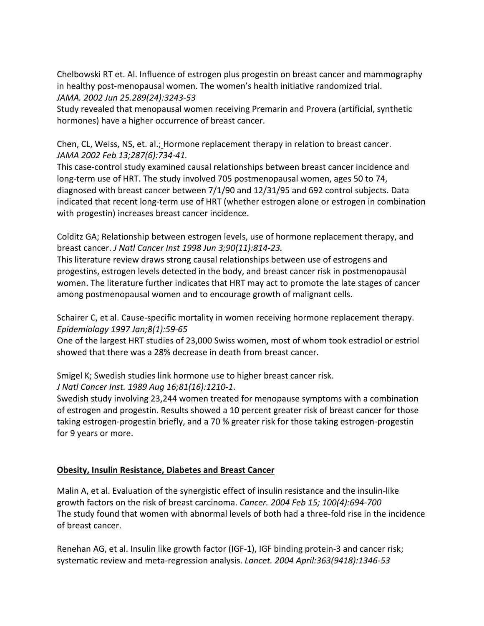Chelbowski RT et. Al. Influence of estrogen plus progestin on breast cancer and mammography in healthy post-menopausal women. The women's health initiative randomized trial. *JAMA. 2002 Jun 25.289(24):3243-53*

Study revealed that menopausal women receiving Premarin and Provera (artificial, synthetic hormones) have a higher occurrence of breast cancer.

Chen, CL, Weiss, NS, et. al.; Hormone [replacement](http://www.ncbi.nlm.nih.gov/pubmed/11851540?ordinalpos=7&itool=EntrezSystem2.PEntrez.Pubmed.Pubmed_ResultsPanel.Pubmed_DefaultReportPanel.Pubmed_RVDocSum) therapy in relation to breast cancer. *JAMA 2002 Feb 13;287(6):734-41.*

This case-control study examined causal relationships between breast cancer incidence and long-term use of HRT. The study involved 705 postmenopausal women, ages 50 to 74, diagnosed with breast cancer between 7/1/90 and 12/31/95 and 692 control subjects. Data indicated that recent long-term use of HRT (whether estrogen alone or estrogen in combination with progestin) increases breast cancer incidence.

Colditz GA; Relationship between estrogen levels, use of hormone [replacement](http://www.ncbi.nlm.nih.gov/pubmed/9625169?ordinalpos=5&itool=EntrezSystem2.PEntrez.Pubmed.Pubmed_ResultsPanel.Pubmed_DefaultReportPanel.Pubmed_RVDocSum) therapy, and breast [cancer.](http://www.ncbi.nlm.nih.gov/pubmed/9625169?ordinalpos=5&itool=EntrezSystem2.PEntrez.Pubmed.Pubmed_ResultsPanel.Pubmed_DefaultReportPanel.Pubmed_RVDocSum) *J Natl Cancer Inst 1998 Jun 3;90(11):814-23.*

This literature review draws strong causal relationships between use of estrogens and progestins, estrogen levels detected in the body, and breast cancer risk in postmenopausal women. The literature further indicates that HRT may act to promote the late stages of cancer among postmenopausal women and to encourage growth of malignant cells.

Schairer C, et al. Cause-specific mortality in women receiving hormone replacement therapy. *Epidemiology 1997 Jan;8(1):59-65*

One of the largest HRT studies of 23,000 Swiss women, most of whom took estradiol or estriol showed that there was a 28% decrease in death from breast cancer.

Smigel K; Swedish studies link [hormone](http://www.ncbi.nlm.nih.gov/pubmed/2754740?ordinalpos=4&itool=EntrezSystem2.PEntrez.Pubmed.Pubmed_ResultsPanel.Pubmed_DefaultReportPanel.Pubmed_RVDocSum) use to higher breast cancer risk. *J Natl Cancer Inst. 1989 Aug 16;81(16):1210-1*.

Swedish study involving 23,244 women treated for menopause symptoms with a combination of estrogen and progestin. Results showed a 10 percent greater risk of breast cancer for those taking estrogen-progestin briefly, and a 70 % greater risk for those taking estrogen-progestin for 9 years or more.

# **Obesity, Insulin Resistance, Diabetes and Breast Cancer**

Malin A, et al. Evaluation of the synergistic effect of insulin resistance and the insulin-like growth factors on the risk of breast carcinoma. *Cancer. 2004 Feb 15; 100(4):694-700* The study found that women with abnormal levels of both had a three-fold rise in the incidence of breast cancer.

Renehan AG, et al. Insulin like growth factor (IGF-1), IGF binding protein-3 and cancer risk; systematic review and meta-regression analysis. *Lancet. 2004 April:363(9418):1346-53*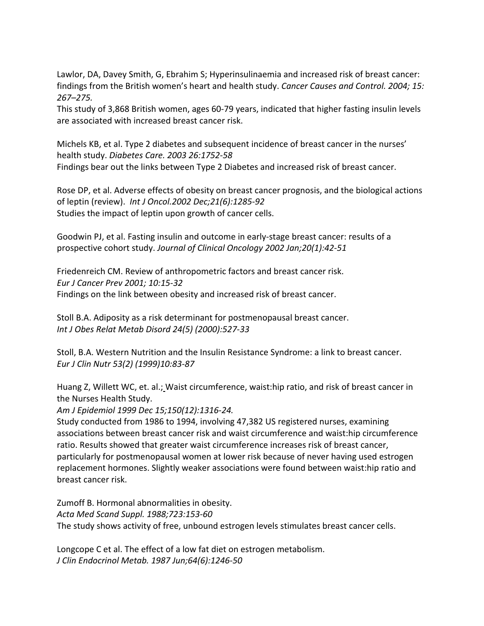Lawlor, DA, Davey Smith, G, Ebrahim S; [Hyperinsulinaemia](http://www.ncbi.nlm.nih.gov/pubmed/15090721?log$=activity) and increased risk of breast cancer: findings from the British [women's](http://www.ncbi.nlm.nih.gov/pubmed/15090721?log$=activity) heart and health study. *Cancer Causes and Control. 2004; 15: 267–275.*

This study of 3,868 British women, ages 60-79 years, indicated that higher fasting insulin levels are associated with increased breast cancer risk.

Michels KB, et al. Type 2 diabetes and subsequent incidence of breast cancer in the nurses' health study. *Diabetes Care. 2003 26:1752-58* Findings bear out the links between Type 2 Diabetes and increased risk of breast cancer.

Rose DP, et al. Adverse effects of obesity on breast cancer prognosis, and the biological actions of leptin (review). *Int J Oncol.2002 Dec;21(6):1285-92* Studies the impact of leptin upon growth of cancer cells.

Goodwin PJ, et al. Fasting insulin and outcome in early-stage breast cancer: results of a prospective cohort study. *Journal of Clinical Oncology 2002 Jan;20(1):42-51*

Friedenreich CM. Review of anthropometric factors and breast cancer risk. *Eur J Cancer Prev 2001; 10:15-32* Findings on the link between obesity and increased risk of breast cancer.

Stoll B.A. Adiposity as a risk determinant for postmenopausal breast cancer. *Int J Obes Relat Metab Disord 24(5) (2000):527-33*

Stoll, B.A. Western Nutrition and the Insulin Resistance Syndrome: a link to breast cancer. *Eur J Clin Nutr 53(2) (1999)10:83-87*

Huang Z, Willett WC, et. al.; Waist [circumference,](http://www.ncbi.nlm.nih.gov/pubmed/10604774?log$=activity) waist:hip ratio, and risk of breast cancer in the [Nurses](http://www.ncbi.nlm.nih.gov/pubmed/10604774?log$=activity) Health Study.

*Am J Epidemiol 1999 Dec 15;150(12):1316-24.*

Study conducted from 1986 to 1994, involving 47,382 US registered nurses, examining associations between breast cancer risk and waist circumference and waist:hip circumference ratio. Results showed that greater waist circumference increases risk of breast cancer, particularly for postmenopausal women at lower risk because of never having used estrogen replacement hormones. Slightly weaker associations were found between waist:hip ratio and breast cancer risk.

Zumoff B. Hormonal abnormalities in obesity. *Acta Med Scand Suppl. 1988;723:153-60* The study shows activity of free, unbound estrogen levels stimulates breast cancer cells.

Longcope C et al. The effect of a low fat diet on estrogen metabolism. *J Clin Endocrinol Metab. 1987 Jun;64(6):1246-50*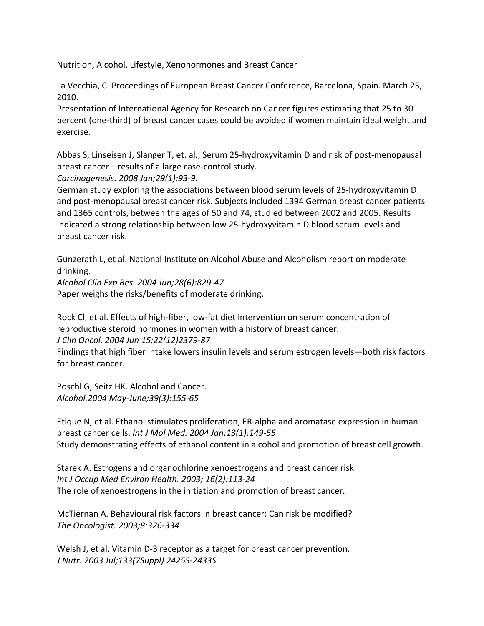Nutrition, Alcohol, Lifestyle, Xenohormones and Breast Cancer

La Vecchia, C. Proceedings of European Breast Cancer Conference, Barcelona, Spain. March 25, 2010.

Presentation of International Agency for Research on Cancer figures estimating that 25 to 30 percent (one-third) of breast cancer cases could be avoided if women maintain ideal weight and exercise.

Abbas S, Linseisen J, Slanger T, et. al.; Serum [25-hydroxyvitamin](http://www.ncbi.nlm.nih.gov/pubmed/17974532?log$=activity) D and risk of post-menopausal breast [cancer—results](http://www.ncbi.nlm.nih.gov/pubmed/17974532?log$=activity) of a large case-control study.

*Carcinogenesis. 2008 Jan;29(1):93-9.*

German study exploring the associations between blood serum levels of 25-hydroxyvitamin D and post-menopausal breast cancer risk. Subjects included 1394 German breast cancer patients and 1365 controls, between the ages of 50 and 74, studied between 2002 and 2005. Results indicated a strong relationship between low 25-hydroxyvitamin D blood serum levels and breast cancer risk.

Gunzerath L, et al. National Institute on Alcohol Abuse and Alcoholism report on moderate drinking.

*Alcohol Clin Exp Res. 2004 Jun;28(6):829-47* Paper weighs the risks/benefits of moderate drinking.

Rock Cl, et al. Effects of high-fiber, low-fat diet intervention on serum concentration of reproductive steroid hormones in women with a history of breast cancer.

*J Clin Oncol. 2004 Jun 15;22(12)2379-87*

Findings that high fiber intake lowers insulin levels and serum estrogen levels—both risk factors for breast cancer.

Poschl G, Seitz HK. Alcohol and Cancer. *Alcohol.2004 May-June;39(3):155-65*

Etique N, et al. Ethanol stimulates proliferation, ER-alpha and aromatase expression in human breast cancer cells. *Int J Mol Med. 2004 Jan;13(1):149-55* Study demonstrating effects of ethanol content in alcohol and promotion of breast cell growth.

Starek A. Estrogens and organochlorine xenoestrogens and breast cancer risk. *Int J Occup Med Environ Health. 2003; 16(2):113-24* The role of xenoestrogens in the initiation and promotion of breast cancer.

McTiernan A. Behavioural risk factors in breast cancer: Can risk be modified? *The Oncologist. 2003;8:326-334*

Welsh J, et al. Vitamin D-3 receptor as a target for breast cancer prevention. *J Nutr. 2003 Jul;133(7Suppl) 2425S-2433S*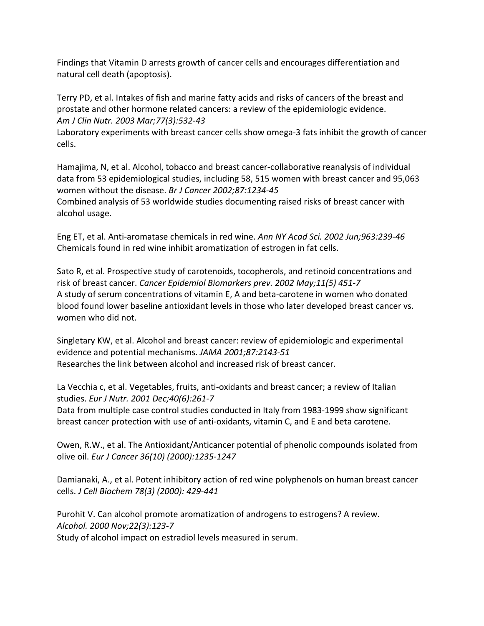Findings that Vitamin D arrests growth of cancer cells and encourages differentiation and natural cell death (apoptosis).

Terry PD, et al. Intakes of fish and marine fatty acids and risks of cancers of the breast and prostate and other hormone related cancers: a review of the epidemiologic evidence. *Am J Clin Nutr. 2003 Mar;77(3):532-43*

Laboratory experiments with breast cancer cells show omega-3 fats inhibit the growth of cancer cells.

Hamajima, N, et al. Alcohol, tobacco and breast cancer-collaborative reanalysis of individual data from 53 epidemiological studies, including 58, 515 women with breast cancer and 95,063 women without the disease. *Br J Cancer 2002;87:1234-45*

Combined analysis of 53 worldwide studies documenting raised risks of breast cancer with alcohol usage.

Eng ET, et al. Anti-aromatase chemicals in red wine. *Ann NY Acad Sci. 2002 Jun;963:239-46* Chemicals found in red wine inhibit aromatization of estrogen in fat cells.

Sato R, et al. Prospective study of carotenoids, tocopherols, and retinoid concentrations and risk of breast cancer. *Cancer Epidemiol Biomarkers prev. 2002 May;11(5) 451-7* A study of serum concentrations of vitamin E, A and beta-carotene in women who donated blood found lower baseline antioxidant levels in those who later developed breast cancer vs. women who did not.

Singletary KW, et al. Alcohol and breast cancer: review of epidemiologic and experimental evidence and potential mechanisms. *JAMA 2001;87:2143-51* Researches the link between alcohol and increased risk of breast cancer.

La Vecchia c, et al. Vegetables, fruits, anti-oxidants and breast cancer; a review of Italian studies. *Eur J Nutr. 2001 Dec;40(6):261-7*

Data from multiple case control studies conducted in Italy from 1983-1999 show significant breast cancer protection with use of anti-oxidants, vitamin C, and E and beta carotene.

Owen, R.W., et al. The Antioxidant/Anticancer potential of phenolic compounds isolated from olive oil. *Eur J Cancer 36(10) (2000):1235-1247*

Damianaki, A., et al. Potent inhibitory action of red wine polyphenols on human breast cancer cells. *J Cell Biochem 78(3) (2000): 429-441*

Purohit V. Can alcohol promote aromatization of androgens to estrogens? A review. *Alcohol. 2000 Nov;22(3):123-7*

Study of alcohol impact on estradiol levels measured in serum.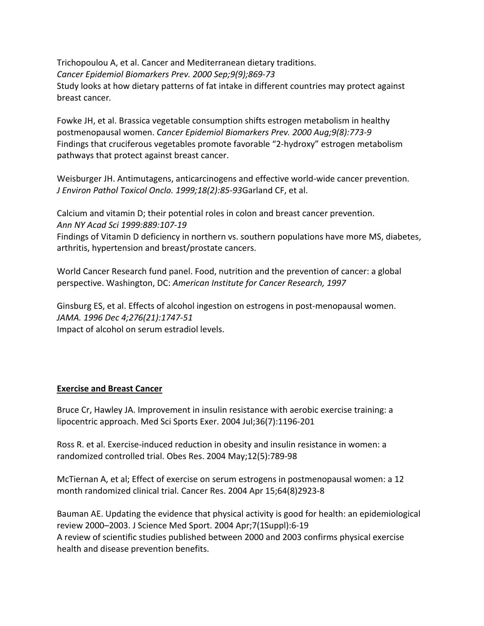Trichopoulou A, et al. Cancer and Mediterranean dietary traditions. *Cancer Epidemiol Biomarkers Prev. 2000 Sep;9(9);869-73* Study looks at how dietary patterns of fat intake in different countries may protect against breast cancer*.*

Fowke JH, et al. Brassica vegetable consumption shifts estrogen metabolism in healthy postmenopausal women. *Cancer Epidemiol Biomarkers Prev. 2000 Aug;9(8):773-9* Findings that cruciferous vegetables promote favorable "2-hydroxy" estrogen metabolism pathways that protect against breast cancer.

Weisburger JH. Antimutagens, anticarcinogens and effective world-wide cancer prevention. *J Environ Pathol Toxicol Onclo. 1999;18(2):85-93*Garland CF, et al.

Calcium and vitamin D; their potential roles in colon and breast cancer prevention. *Ann NY Acad Sci 1999:889:107-19*

Findings of Vitamin D deficiency in northern vs. southern populations have more MS, diabetes, arthritis, hypertension and breast/prostate cancers.

World Cancer Research fund panel. Food, nutrition and the prevention of cancer: a global perspective. Washington, DC: *American Institute for Cancer Research, 1997*

Ginsburg ES, et al. Effects of alcohol ingestion on estrogens in post-menopausal women. *JAMA. 1996 Dec 4;276(21):1747-51* Impact of alcohol on serum estradiol levels.

# **Exercise and Breast Cancer**

Bruce Cr, Hawley JA. Improvement in insulin resistance with aerobic exercise training: a lipocentric approach. Med Sci Sports Exer. 2004 Jul;36(7):1196-201

Ross R. et al. Exercise-induced reduction in obesity and insulin resistance in women: a randomized controlled trial. Obes Res. 2004 May;12(5):789-98

McTiernan A, et al; Effect of exercise on serum estrogens in postmenopausal women: a 12 month randomized clinical trial. Cancer Res. 2004 Apr 15;64(8)2923-8

Bauman AE. Updating the evidence that physical activity is good for health: an epidemiological review 2000–2003. J Science Med Sport. 2004 Apr;7(1Suppl):6-19 A review of scientific studies published between 2000 and 2003 confirms physical exercise health and disease prevention benefits.